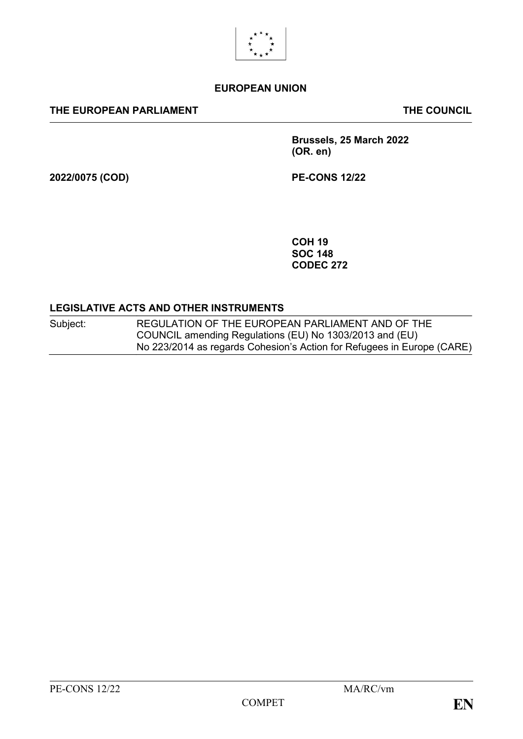

#### **EUROPEAN UNION**

#### **THE EUROPEAN PARLIAMENT THE COUNCIL**

**Brussels, 25 March 2022 (OR. en)**

**2022/0075 (COD) PE-CONS 12/22**

**COH 19 SOC 148 CODEC 272**

#### **LEGISLATIVE ACTS AND OTHER INSTRUMENTS**

Subject: REGULATION OF THE EUROPEAN PARLIAMENT AND OF THE COUNCIL amending Regulations (EU) No 1303/2013 and (EU) No 223/2014 as regards Cohesion's Action for Refugees in Europe (CARE)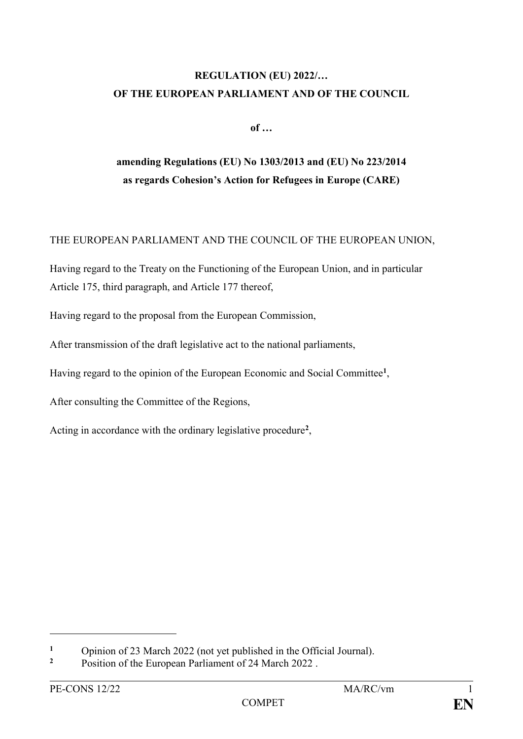# **REGULATION (EU) 2022/… OF THE EUROPEAN PARLIAMENT AND OF THE COUNCIL**

**of …**

# **amending Regulations (EU) No 1303/2013 and (EU) No 223/2014 as regards Cohesion's Action for Refugees in Europe (CARE)**

## THE EUROPEAN PARLIAMENT AND THE COUNCIL OF THE EUROPEAN UNION,

Having regard to the Treaty on the Functioning of the European Union, and in particular Article 175, third paragraph, and Article 177 thereof,

Having regard to the proposal from the European Commission,

After transmission of the draft legislative act to the national parliaments,

Having regard to the opinion of the European Economic and Social Committee**<sup>1</sup>** ,

After consulting the Committee of the Regions,

Acting in accordance with the ordinary legislative procedure**<sup>2</sup>** ,

1

<sup>&</sup>lt;sup>1</sup> Opinion of 23 March 2022 (not yet published in the Official Journal).

**<sup>2</sup>** Position of the European Parliament of 24 March 2022 .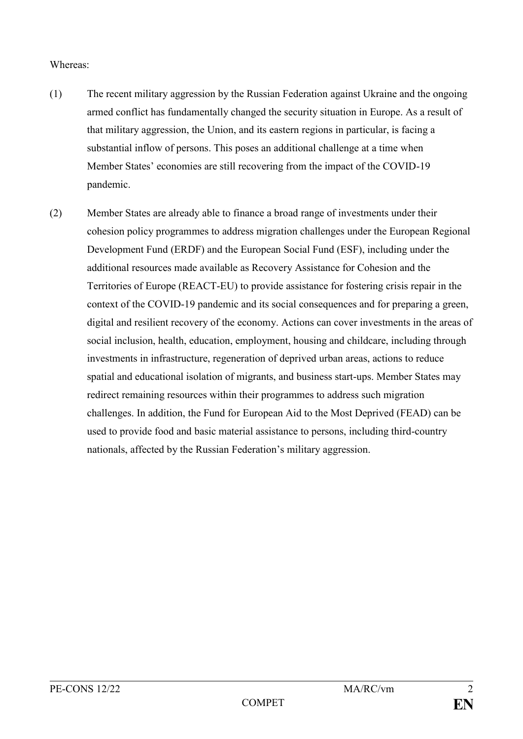#### Whereas:

- (1) The recent military aggression by the Russian Federation against Ukraine and the ongoing armed conflict has fundamentally changed the security situation in Europe. As a result of that military aggression, the Union, and its eastern regions in particular, is facing a substantial inflow of persons. This poses an additional challenge at a time when Member States' economies are still recovering from the impact of the COVID-19 pandemic.
- (2) Member States are already able to finance a broad range of investments under their cohesion policy programmes to address migration challenges under the European Regional Development Fund (ERDF) and the European Social Fund (ESF), including under the additional resources made available as Recovery Assistance for Cohesion and the Territories of Europe (REACT-EU) to provide assistance for fostering crisis repair in the context of the COVID-19 pandemic and its social consequences and for preparing a green, digital and resilient recovery of the economy. Actions can cover investments in the areas of social inclusion, health, education, employment, housing and childcare, including through investments in infrastructure, regeneration of deprived urban areas, actions to reduce spatial and educational isolation of migrants, and business start-ups. Member States may redirect remaining resources within their programmes to address such migration challenges. In addition, the Fund for European Aid to the Most Deprived (FEAD) can be used to provide food and basic material assistance to persons, including third-country nationals, affected by the Russian Federation's military aggression.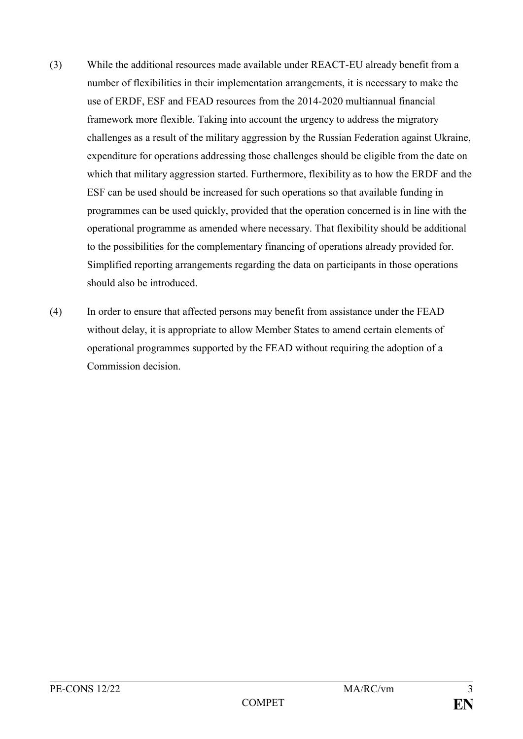- (3) While the additional resources made available under REACT-EU already benefit from a number of flexibilities in their implementation arrangements, it is necessary to make the use of ERDF, ESF and FEAD resources from the 2014-2020 multiannual financial framework more flexible. Taking into account the urgency to address the migratory challenges as a result of the military aggression by the Russian Federation against Ukraine, expenditure for operations addressing those challenges should be eligible from the date on which that military aggression started. Furthermore, flexibility as to how the ERDF and the ESF can be used should be increased for such operations so that available funding in programmes can be used quickly, provided that the operation concerned is in line with the operational programme as amended where necessary. That flexibility should be additional to the possibilities for the complementary financing of operations already provided for. Simplified reporting arrangements regarding the data on participants in those operations should also be introduced.
- (4) In order to ensure that affected persons may benefit from assistance under the FEAD without delay, it is appropriate to allow Member States to amend certain elements of operational programmes supported by the FEAD without requiring the adoption of a Commission decision.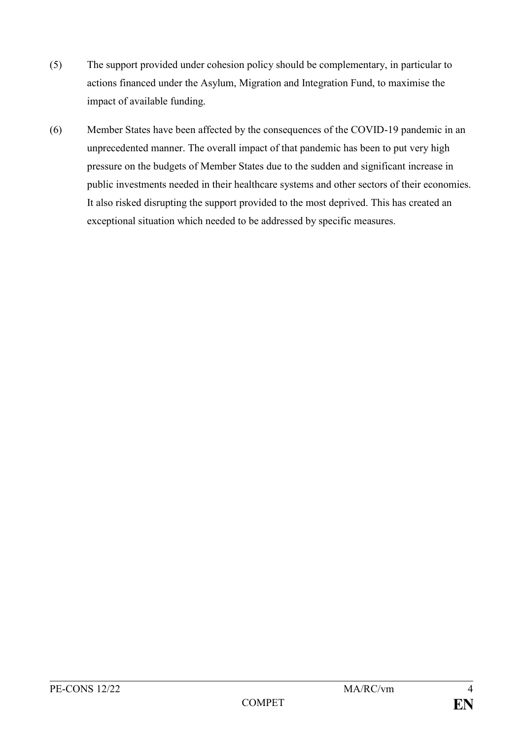- (5) The support provided under cohesion policy should be complementary, in particular to actions financed under the Asylum, Migration and Integration Fund, to maximise the impact of available funding.
- (6) Member States have been affected by the consequences of the COVID-19 pandemic in an unprecedented manner. The overall impact of that pandemic has been to put very high pressure on the budgets of Member States due to the sudden and significant increase in public investments needed in their healthcare systems and other sectors of their economies. It also risked disrupting the support provided to the most deprived. This has created an exceptional situation which needed to be addressed by specific measures.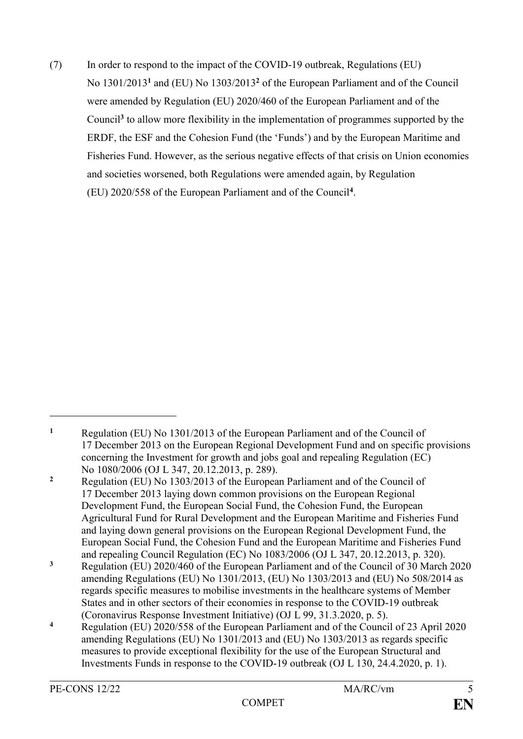(7) In order to respond to the impact of the COVID-19 outbreak, Regulations (EU) No 1301/2013**<sup>1</sup>** and (EU) No 1303/2013**<sup>2</sup>** of the European Parliament and of the Council were amended by Regulation (EU) 2020/460 of the European Parliament and of the Council**<sup>3</sup>** to allow more flexibility in the implementation of programmes supported by the ERDF, the ESF and the Cohesion Fund (the 'Funds') and by the European Maritime and Fisheries Fund. However, as the serious negative effects of that crisis on Union economies and societies worsened, both Regulations were amended again, by Regulation (EU) 2020/558 of the European Parliament and of the Council**<sup>4</sup>** .

<u>.</u>

**<sup>1</sup>** Regulation (EU) No 1301/2013 of the European Parliament and of the Council of 17 December 2013 on the European Regional Development Fund and on specific provisions concerning the Investment for growth and jobs goal and repealing Regulation (EC) No 1080/2006 (OJ L 347, 20.12.2013, p. 289).

**<sup>2</sup>** Regulation (EU) No 1303/2013 of the European Parliament and of the Council of 17 December 2013 laying down common provisions on the European Regional Development Fund, the European Social Fund, the Cohesion Fund, the European Agricultural Fund for Rural Development and the European Maritime and Fisheries Fund and laying down general provisions on the European Regional Development Fund, the European Social Fund, the Cohesion Fund and the European Maritime and Fisheries Fund and repealing Council Regulation (EC) No 1083/2006 (OJ L 347, 20.12.2013, p. 320).

**<sup>3</sup>** Regulation (EU) 2020/460 of the European Parliament and of the Council of 30 March 2020 amending Regulations (EU) No 1301/2013, (EU) No 1303/2013 and (EU) No 508/2014 as regards specific measures to mobilise investments in the healthcare systems of Member States and in other sectors of their economies in response to the COVID-19 outbreak (Coronavirus Response Investment Initiative) (OJ L 99, 31.3.2020, p. 5).

**<sup>4</sup>** Regulation (EU) 2020/558 of the European Parliament and of the Council of 23 April 2020 amending Regulations (EU) No 1301/2013 and (EU) No 1303/2013 as regards specific measures to provide exceptional flexibility for the use of the European Structural and Investments Funds in response to the COVID-19 outbreak (OJ L 130, 24.4.2020, p. 1).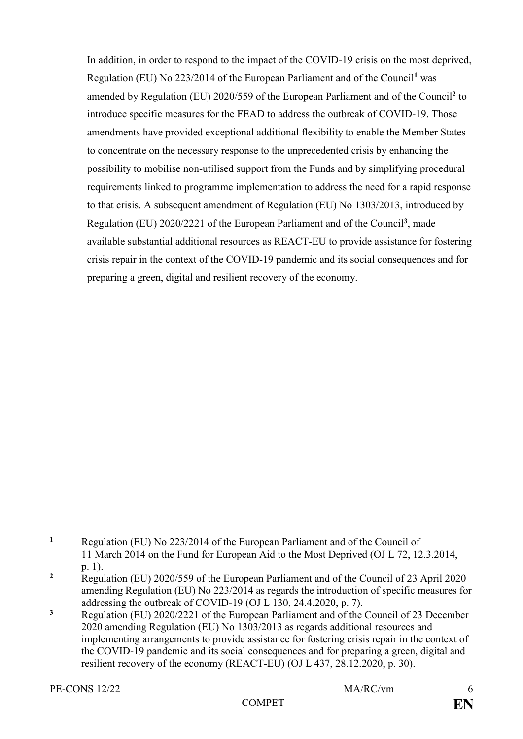In addition, in order to respond to the impact of the COVID-19 crisis on the most deprived, Regulation (EU) No 223/2014 of the European Parliament and of the Council**<sup>1</sup>** was amended by Regulation (EU) 2020/559 of the European Parliament and of the Council**<sup>2</sup>** to introduce specific measures for the FEAD to address the outbreak of COVID-19. Those amendments have provided exceptional additional flexibility to enable the Member States to concentrate on the necessary response to the unprecedented crisis by enhancing the possibility to mobilise non-utilised support from the Funds and by simplifying procedural requirements linked to programme implementation to address the need for a rapid response to that crisis. A subsequent amendment of Regulation (EU) No 1303/2013, introduced by Regulation (EU) 2020/2221 of the European Parliament and of the Council**<sup>3</sup>** , made available substantial additional resources as REACT-EU to provide assistance for fostering crisis repair in the context of the COVID-19 pandemic and its social consequences and for preparing a green, digital and resilient recovery of the economy.

1

**<sup>1</sup>** Regulation (EU) No 223/2014 of the European Parliament and of the Council of 11 March 2014 on the Fund for European Aid to the Most Deprived (OJ L 72, 12.3.2014, p. 1).

<sup>&</sup>lt;sup>2</sup> Regulation (EU) 2020/559 of the European Parliament and of the Council of 23 April 2020 amending Regulation (EU) No 223/2014 as regards the introduction of specific measures for addressing the outbreak of COVID-19 (OJ L 130, 24.4.2020, p. 7).

**<sup>3</sup>** Regulation (EU) 2020/2221 of the European Parliament and of the Council of 23 December 2020 amending Regulation (EU) No 1303/2013 as regards additional resources and implementing arrangements to provide assistance for fostering crisis repair in the context of the COVID-19 pandemic and its social consequences and for preparing a green, digital and resilient recovery of the economy (REACT-EU) (OJ L 437, 28.12.2020, p. 30).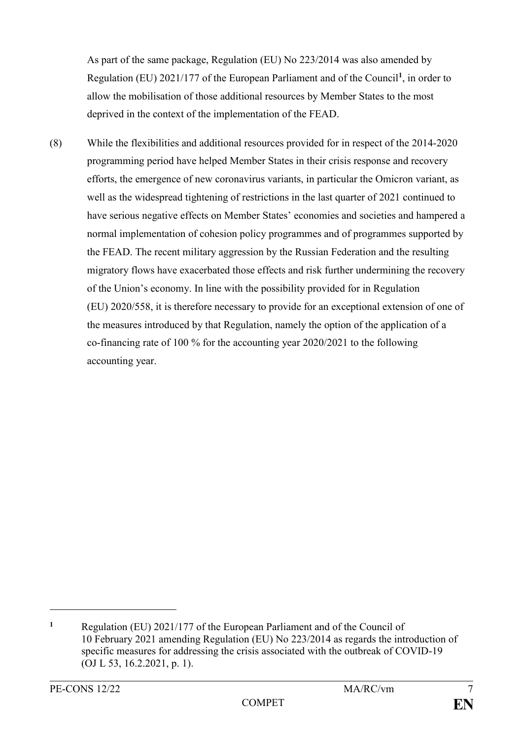As part of the same package, Regulation (EU) No 223/2014 was also amended by Regulation (EU) 2021/177 of the European Parliament and of the Council**<sup>1</sup>** , in order to allow the mobilisation of those additional resources by Member States to the most deprived in the context of the implementation of the FEAD.

(8) While the flexibilities and additional resources provided for in respect of the 2014-2020 programming period have helped Member States in their crisis response and recovery efforts, the emergence of new coronavirus variants, in particular the Omicron variant, as well as the widespread tightening of restrictions in the last quarter of 2021 continued to have serious negative effects on Member States' economies and societies and hampered a normal implementation of cohesion policy programmes and of programmes supported by the FEAD. The recent military aggression by the Russian Federation and the resulting migratory flows have exacerbated those effects and risk further undermining the recovery of the Union's economy. In line with the possibility provided for in Regulation (EU) 2020/558, it is therefore necessary to provide for an exceptional extension of one of the measures introduced by that Regulation, namely the option of the application of a co-financing rate of 100 % for the accounting year 2020/2021 to the following accounting year.

<u>.</u>

**<sup>1</sup>** Regulation (EU) 2021/177 of the European Parliament and of the Council of 10 February 2021 amending Regulation (EU) No 223/2014 as regards the introduction of specific measures for addressing the crisis associated with the outbreak of COVID-19 (OJ L 53, 16.2.2021, p. 1).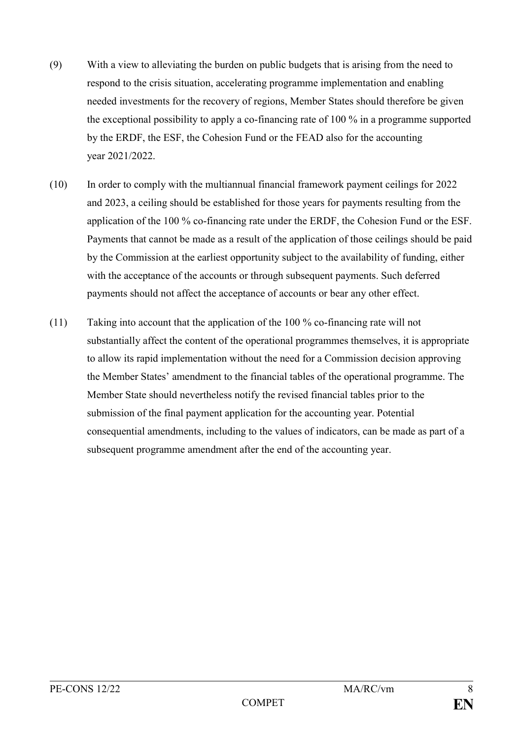- (9) With a view to alleviating the burden on public budgets that is arising from the need to respond to the crisis situation, accelerating programme implementation and enabling needed investments for the recovery of regions, Member States should therefore be given the exceptional possibility to apply a co-financing rate of 100 % in a programme supported by the ERDF, the ESF, the Cohesion Fund or the FEAD also for the accounting year 2021/2022.
- (10) In order to comply with the multiannual financial framework payment ceilings for 2022 and 2023, a ceiling should be established for those years for payments resulting from the application of the 100 % co-financing rate under the ERDF, the Cohesion Fund or the ESF. Payments that cannot be made as a result of the application of those ceilings should be paid by the Commission at the earliest opportunity subject to the availability of funding, either with the acceptance of the accounts or through subsequent payments. Such deferred payments should not affect the acceptance of accounts or bear any other effect.
- (11) Taking into account that the application of the 100 % co-financing rate will not substantially affect the content of the operational programmes themselves, it is appropriate to allow its rapid implementation without the need for a Commission decision approving the Member States' amendment to the financial tables of the operational programme. The Member State should nevertheless notify the revised financial tables prior to the submission of the final payment application for the accounting year. Potential consequential amendments, including to the values of indicators, can be made as part of a subsequent programme amendment after the end of the accounting year.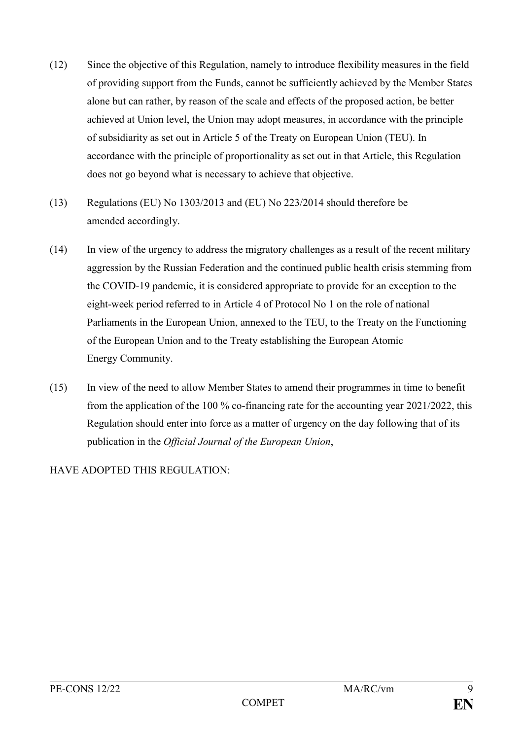- (12) Since the objective of this Regulation, namely to introduce flexibility measures in the field of providing support from the Funds, cannot be sufficiently achieved by the Member States alone but can rather, by reason of the scale and effects of the proposed action, be better achieved at Union level, the Union may adopt measures, in accordance with the principle of subsidiarity as set out in Article 5 of the Treaty on European Union (TEU). In accordance with the principle of proportionality as set out in that Article, this Regulation does not go beyond what is necessary to achieve that objective.
- (13) Regulations (EU) No 1303/2013 and (EU) No 223/2014 should therefore be amended accordingly.
- (14) In view of the urgency to address the migratory challenges as a result of the recent military aggression by the Russian Federation and the continued public health crisis stemming from the COVID-19 pandemic, it is considered appropriate to provide for an exception to the eight-week period referred to in Article 4 of Protocol No 1 on the role of national Parliaments in the European Union, annexed to the TEU, to the Treaty on the Functioning of the European Union and to the Treaty establishing the European Atomic Energy Community.
- (15) In view of the need to allow Member States to amend their programmes in time to benefit from the application of the 100 % co-financing rate for the accounting year 2021/2022, this Regulation should enter into force as a matter of urgency on the day following that of its publication in the *Official Journal of the European Union*,

### HAVE ADOPTED THIS REGULATION: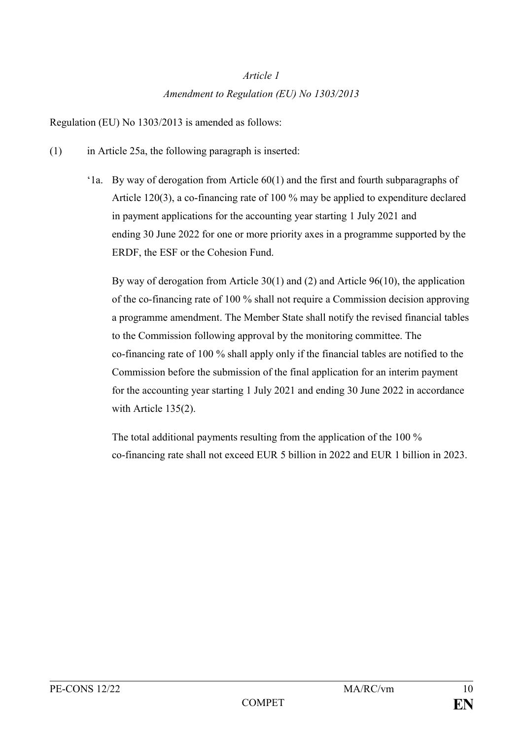# *Article 1 Amendment to Regulation (EU) No 1303/2013*

Regulation (EU) No 1303/2013 is amended as follows:

- (1) in Article 25a, the following paragraph is inserted:
	- '1a. By way of derogation from Article 60(1) and the first and fourth subparagraphs of Article 120(3), a co-financing rate of 100 % may be applied to expenditure declared in payment applications for the accounting year starting 1 July 2021 and ending 30 June 2022 for one or more priority axes in a programme supported by the ERDF, the ESF or the Cohesion Fund.

By way of derogation from Article 30(1) and (2) and Article 96(10), the application of the co-financing rate of 100 % shall not require a Commission decision approving a programme amendment. The Member State shall notify the revised financial tables to the Commission following approval by the monitoring committee. The co-financing rate of 100 % shall apply only if the financial tables are notified to the Commission before the submission of the final application for an interim payment for the accounting year starting 1 July 2021 and ending 30 June 2022 in accordance with Article 135(2).

The total additional payments resulting from the application of the 100 % co-financing rate shall not exceed EUR 5 billion in 2022 and EUR 1 billion in 2023.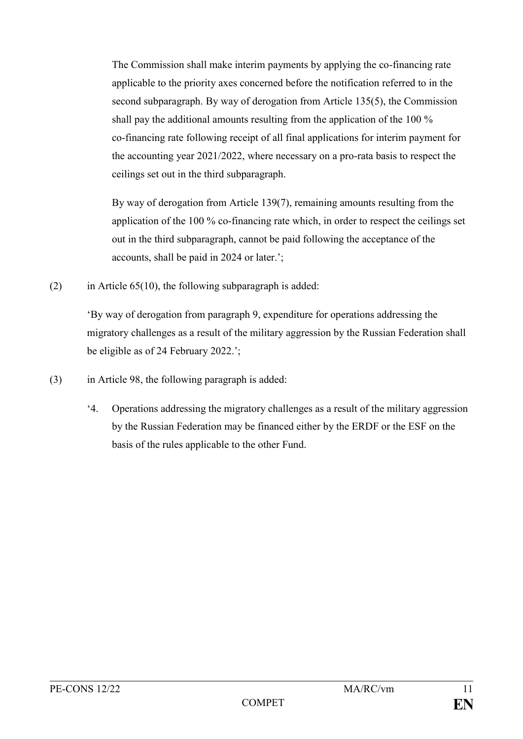The Commission shall make interim payments by applying the co-financing rate applicable to the priority axes concerned before the notification referred to in the second subparagraph. By way of derogation from Article 135(5), the Commission shall pay the additional amounts resulting from the application of the 100 % co-financing rate following receipt of all final applications for interim payment for the accounting year 2021/2022, where necessary on a pro-rata basis to respect the ceilings set out in the third subparagraph.

By way of derogation from Article 139(7), remaining amounts resulting from the application of the 100 % co-financing rate which, in order to respect the ceilings set out in the third subparagraph, cannot be paid following the acceptance of the accounts, shall be paid in 2024 or later.';

(2) in Article  $65(10)$ , the following subparagraph is added:

'By way of derogation from paragraph 9, expenditure for operations addressing the migratory challenges as a result of the military aggression by the Russian Federation shall be eligible as of 24 February 2022.';

- (3) in Article 98, the following paragraph is added:
	- '4. Operations addressing the migratory challenges as a result of the military aggression by the Russian Federation may be financed either by the ERDF or the ESF on the basis of the rules applicable to the other Fund.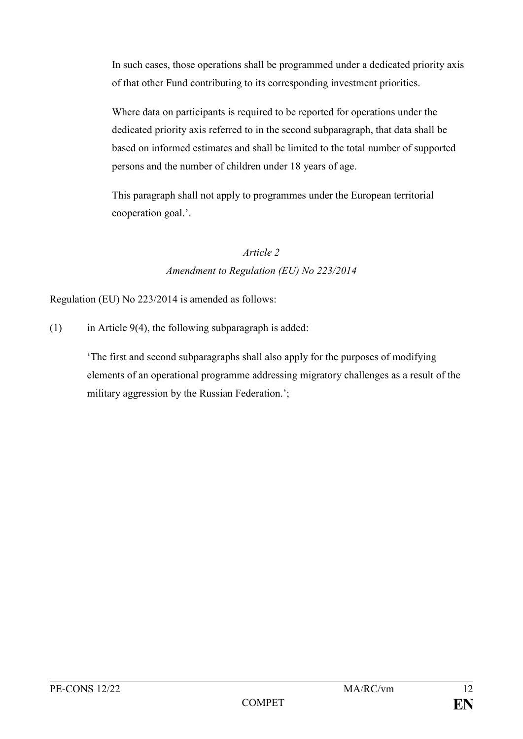In such cases, those operations shall be programmed under a dedicated priority axis of that other Fund contributing to its corresponding investment priorities.

Where data on participants is required to be reported for operations under the dedicated priority axis referred to in the second subparagraph, that data shall be based on informed estimates and shall be limited to the total number of supported persons and the number of children under 18 years of age.

This paragraph shall not apply to programmes under the European territorial cooperation goal.'.

# *Article 2*

## *Amendment to Regulation (EU) No 223/2014*

Regulation (EU) No 223/2014 is amended as follows:

(1) in Article 9(4), the following subparagraph is added:

'The first and second subparagraphs shall also apply for the purposes of modifying elements of an operational programme addressing migratory challenges as a result of the military aggression by the Russian Federation.';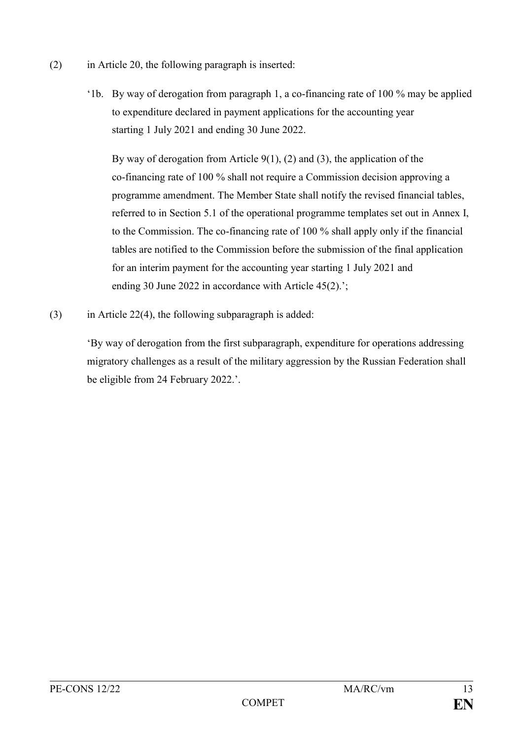- (2) in Article 20, the following paragraph is inserted:
	- '1b. By way of derogation from paragraph 1, a co-financing rate of 100 % may be applied to expenditure declared in payment applications for the accounting year starting 1 July 2021 and ending 30 June 2022.

By way of derogation from Article  $9(1)$ ,  $(2)$  and  $(3)$ , the application of the co-financing rate of 100 % shall not require a Commission decision approving a programme amendment. The Member State shall notify the revised financial tables, referred to in Section 5.1 of the operational programme templates set out in Annex I, to the Commission. The co-financing rate of 100 % shall apply only if the financial tables are notified to the Commission before the submission of the final application for an interim payment for the accounting year starting 1 July 2021 and ending 30 June 2022 in accordance with Article 45(2).';

 $(3)$  in Article 22(4), the following subparagraph is added:

'By way of derogation from the first subparagraph, expenditure for operations addressing migratory challenges as a result of the military aggression by the Russian Federation shall be eligible from 24 February 2022.'.